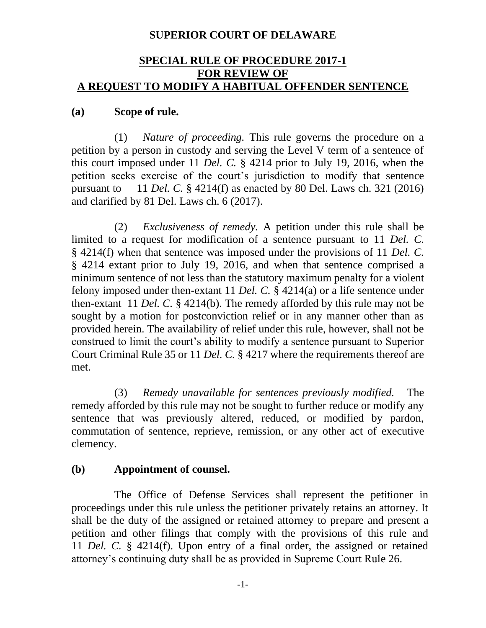## **SUPERIOR COURT OF DELAWARE**

#### **SPECIAL RULE OF PROCEDURE 2017-1 FOR REVIEW OF A REQUEST TO MODIFY A HABITUAL OFFENDER SENTENCE**

#### **(a) Scope of rule.**

(1) *Nature of proceeding.* This rule governs the procedure on a petition by a person in custody and serving the Level V term of a sentence of this court imposed under 11 *Del. C.* § 4214 prior to July 19, 2016, when the petition seeks exercise of the court's jurisdiction to modify that sentence pursuant to 11 *Del. C.* § 4214(f) as enacted by 80 Del. Laws ch. 321 (2016) and clarified by 81 Del. Laws ch. 6 (2017).

(2) *Exclusiveness of remedy.* A petition under this rule shall be limited to a request for modification of a sentence pursuant to 11 *Del. C.*  § 4214(f) when that sentence was imposed under the provisions of 11 *Del. C.*  § 4214 extant prior to July 19, 2016, and when that sentence comprised a minimum sentence of not less than the statutory maximum penalty for a violent felony imposed under then-extant 11 *Del. C.* § 4214(a) or a life sentence under then-extant 11 *Del. C.* § 4214(b). The remedy afforded by this rule may not be sought by a motion for postconviction relief or in any manner other than as provided herein. The availability of relief under this rule, however, shall not be construed to limit the court's ability to modify a sentence pursuant to Superior Court Criminal Rule 35 or 11 *Del. C.* § 4217 where the requirements thereof are met.

(3) *Remedy unavailable for sentences previously modified.* The remedy afforded by this rule may not be sought to further reduce or modify any sentence that was previously altered, reduced, or modified by pardon, commutation of sentence, reprieve, remission, or any other act of executive clemency.

## **(b) Appointment of counsel.**

The Office of Defense Services shall represent the petitioner in proceedings under this rule unless the petitioner privately retains an attorney. It shall be the duty of the assigned or retained attorney to prepare and present a petition and other filings that comply with the provisions of this rule and 11 *Del. C.* § 4214(f). Upon entry of a final order, the assigned or retained attorney's continuing duty shall be as provided in Supreme Court Rule 26.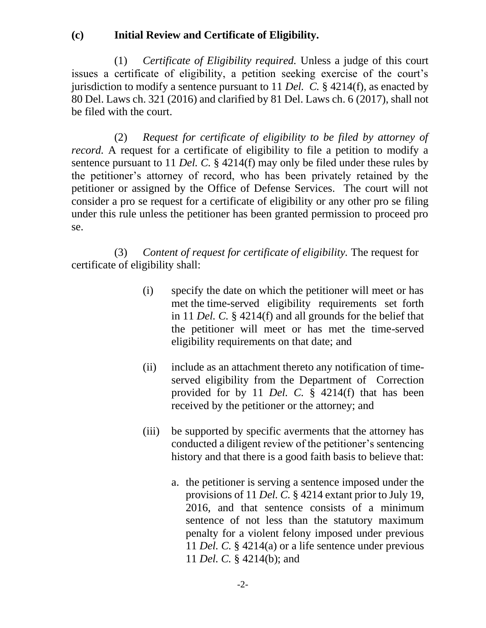## **(c) Initial Review and Certificate of Eligibility.**

(1) *Certificate of Eligibility required.* Unless a judge of this court issues a certificate of eligibility, a petition seeking exercise of the court's jurisdiction to modify a sentence pursuant to 11 *Del. C.* § 4214(f), as enacted by 80 Del. Laws ch. 321 (2016) and clarified by 81 Del. Laws ch. 6 (2017), shall not be filed with the court.

(2) *Request for certificate of eligibility to be filed by attorney of record.* A request for a certificate of eligibility to file a petition to modify a sentence pursuant to 11 *Del. C.* § 4214(f) may only be filed under these rules by the petitioner's attorney of record, who has been privately retained by the petitioner or assigned by the Office of Defense Services. The court will not consider a pro se request for a certificate of eligibility or any other pro se filing under this rule unless the petitioner has been granted permission to proceed pro se.

(3) *Content of request for certificate of eligibility.* The request for certificate of eligibility shall:

- (i) specify the date on which the petitioner will meet or has met the time-served eligibility requirements set forth in 11 *Del. C.* § 4214(f) and all grounds for the belief that the petitioner will meet or has met the time-served eligibility requirements on that date; and
- (ii) include as an attachment thereto any notification of timeserved eligibility from the Department of Correction provided for by 11 *Del. C.* § 4214(f) that has been received by the petitioner or the attorney; and
- (iii) be supported by specific averments that the attorney has conducted a diligent review of the petitioner's sentencing history and that there is a good faith basis to believe that:
	- a. the petitioner is serving a sentence imposed under the provisions of 11 *Del. C.* § 4214 extant prior to July 19, 2016, and that sentence consists of a minimum sentence of not less than the statutory maximum penalty for a violent felony imposed under previous 11 *Del. C.* § 4214(a) or a life sentence under previous 11 *Del. C.* § 4214(b); and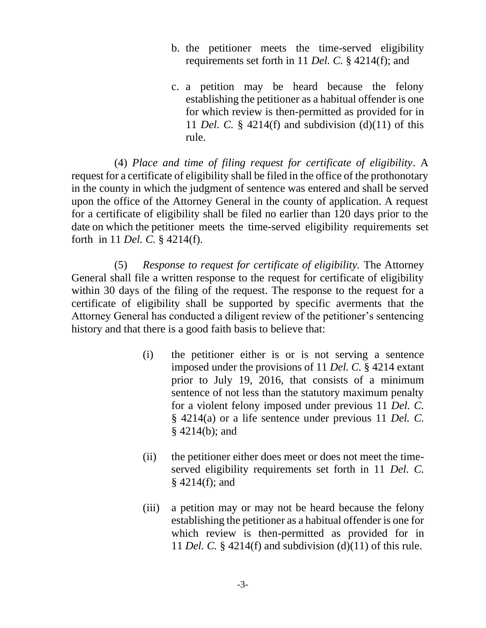- b. the petitioner meets the time-served eligibility requirements set forth in 11 *Del. C.* § 4214(f); and
- c. a petition may be heard because the felony establishing the petitioner as a habitual offender is one for which review is then-permitted as provided for in 11 *Del. C.* § 4214(f) and subdivision (d)(11) of this rule.

(4) *Place and time of filing request for certificate of eligibility*. A request for a certificate of eligibility shall be filed in the office of the prothonotary in the county in which the judgment of sentence was entered and shall be served upon the office of the Attorney General in the county of application. A request for a certificate of eligibility shall be filed no earlier than 120 days prior to the date on which the petitioner meets the time-served eligibility requirements set forth in 11 *Del. C.* § 4214(f).

(5) *Response to request for certificate of eligibility.* The Attorney General shall file a written response to the request for certificate of eligibility within 30 days of the filing of the request. The response to the request for a certificate of eligibility shall be supported by specific averments that the Attorney General has conducted a diligent review of the petitioner's sentencing history and that there is a good faith basis to believe that:

- (i) the petitioner either is or is not serving a sentence imposed under the provisions of 11 *Del. C.* § 4214 extant prior to July 19, 2016, that consists of a minimum sentence of not less than the statutory maximum penalty for a violent felony imposed under previous 11 *Del. C.*  § 4214(a) or a life sentence under previous 11 *Del. C.* § 4214(b); and
- (ii) the petitioner either does meet or does not meet the timeserved eligibility requirements set forth in 11 *Del. C.*  $§$  4214(f); and
- (iii) a petition may or may not be heard because the felony establishing the petitioner as a habitual offender is one for which review is then-permitted as provided for in 11 *Del. C.* § 4214(f) and subdivision (d)(11) of this rule.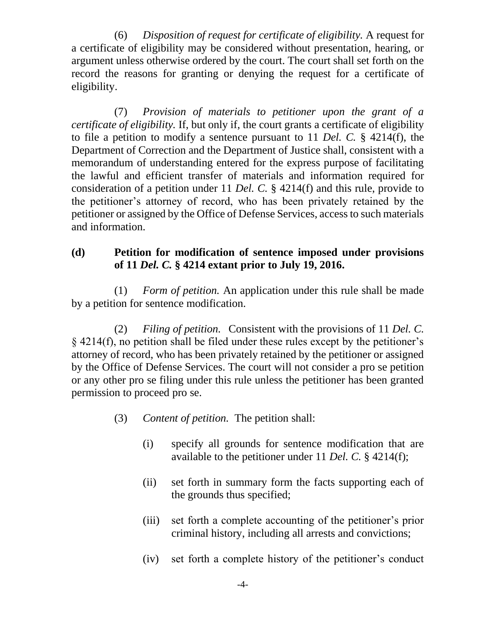(6) *Disposition of request for certificate of eligibility.* A request for a certificate of eligibility may be considered without presentation, hearing, or argument unless otherwise ordered by the court. The court shall set forth on the record the reasons for granting or denying the request for a certificate of eligibility.

(7) *Provision of materials to petitioner upon the grant of a certificate of eligibility.* If, but only if, the court grants a certificate of eligibility to file a petition to modify a sentence pursuant to 11 *Del. C.* § 4214(f), the Department of Correction and the Department of Justice shall, consistent with a memorandum of understanding entered for the express purpose of facilitating the lawful and efficient transfer of materials and information required for consideration of a petition under 11 *Del. C.* § 4214(f) and this rule, provide to the petitioner's attorney of record, who has been privately retained by the petitioner or assigned by the Office of Defense Services, access to such materials and information.

# **(d) Petition for modification of sentence imposed under provisions of 11** *Del. C.* **§ 4214 extant prior to July 19, 2016.**

(1) *Form of petition.* An application under this rule shall be made by a petition for sentence modification.

(2) *Filing of petition.* Consistent with the provisions of 11 *Del. C.* § 4214(f), no petition shall be filed under these rules except by the petitioner's attorney of record, who has been privately retained by the petitioner or assigned by the Office of Defense Services. The court will not consider a pro se petition or any other pro se filing under this rule unless the petitioner has been granted permission to proceed pro se.

- (3) *Content of petition.* The petition shall:
	- (i) specify all grounds for sentence modification that are available to the petitioner under 11 *Del. C.* § 4214(f);
	- (ii) set forth in summary form the facts supporting each of the grounds thus specified;
	- (iii) set forth a complete accounting of the petitioner's prior criminal history, including all arrests and convictions;
	- (iv) set forth a complete history of the petitioner's conduct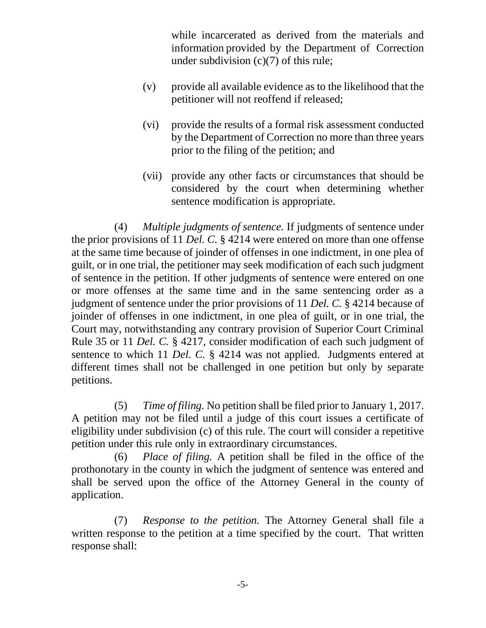while incarcerated as derived from the materials and information provided by the Department of Correction under subdivision (c)(7) of this rule;

- (v) provide all available evidence as to the likelihood that the petitioner will not reoffend if released;
- (vi) provide the results of a formal risk assessment conducted by the Department of Correction no more than three years prior to the filing of the petition; and
- (vii) provide any other facts or circumstances that should be considered by the court when determining whether sentence modification is appropriate.

(4) *Multiple judgments of sentence.* If judgments of sentence under the prior provisions of 11 *Del. C.* § 4214 were entered on more than one offense at the same time because of joinder of offenses in one indictment, in one plea of guilt, or in one trial, the petitioner may seek modification of each such judgment of sentence in the petition. If other judgments of sentence were entered on one or more offenses at the same time and in the same sentencing order as a judgment of sentence under the prior provisions of 11 *Del. C.* § 4214 because of joinder of offenses in one indictment, in one plea of guilt, or in one trial, the Court may, notwithstanding any contrary provision of Superior Court Criminal Rule 35 or 11 *Del. C.* § 4217, consider modification of each such judgment of sentence to which 11 *Del. C.* § 4214 was not applied. Judgments entered at different times shall not be challenged in one petition but only by separate petitions.

(5) *Time of filing.* No petition shall be filed prior to January 1, 2017. A petition may not be filed until a judge of this court issues a certificate of eligibility under subdivision (c) of this rule. The court will consider a repetitive petition under this rule only in extraordinary circumstances.

(6) *Place of filing.* A petition shall be filed in the office of the prothonotary in the county in which the judgment of sentence was entered and shall be served upon the office of the Attorney General in the county of application.

(7) *Response to the petition.* The Attorney General shall file a written response to the petition at a time specified by the court. That written response shall: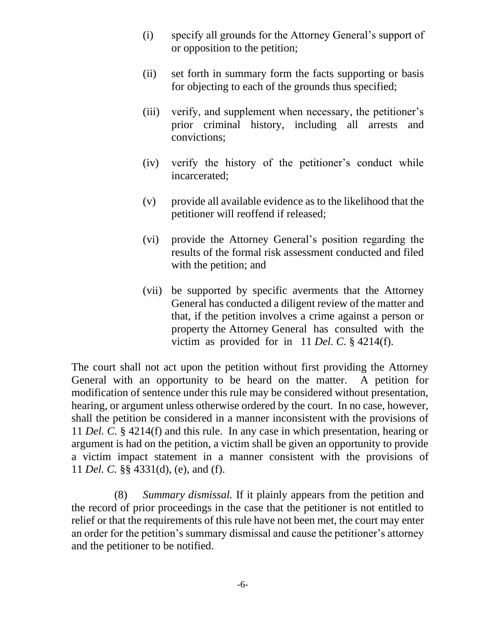- (i) specify all grounds for the Attorney General's support of or opposition to the petition;
- (ii) set forth in summary form the facts supporting or basis for objecting to each of the grounds thus specified;
- (iii) verify, and supplement when necessary, the petitioner's prior criminal history, including all arrests and convictions;
- (iv) verify the history of the petitioner's conduct while incarcerated;
- (v) provide all available evidence as to the likelihood that the petitioner will reoffend if released;
- (vi) provide the Attorney General's position regarding the results of the formal risk assessment conducted and filed with the petition; and
- (vii) be supported by specific averments that the Attorney General has conducted a diligent review of the matter and that, if the petition involves a crime against a person or property the Attorney General has consulted with the victim as provided for in 11 *Del. C.* § 4214(f).

The court shall not act upon the petition without first providing the Attorney General with an opportunity to be heard on the matter. A petition for modification of sentence under this rule may be considered without presentation, hearing, or argument unless otherwise ordered by the court. In no case, however, shall the petition be considered in a manner inconsistent with the provisions of 11 *Del. C.* § 4214(f) and this rule. In any case in which presentation, hearing or argument is had on the petition, a victim shall be given an opportunity to provide a victim impact statement in a manner consistent with the provisions of 11 *Del. C.* §§ 4331(d), (e), and (f).

(8) *Summary dismissal.* If it plainly appears from the petition and the record of prior proceedings in the case that the petitioner is not entitled to relief or that the requirements of this rule have not been met, the court may enter an order for the petition's summary dismissal and cause the petitioner's attorney and the petitioner to be notified.